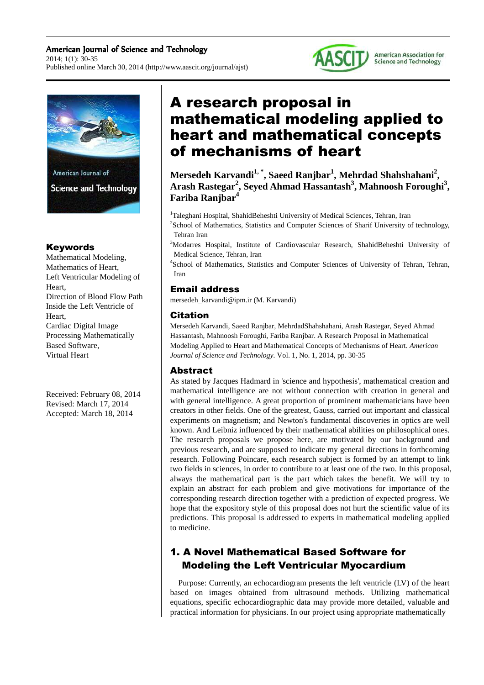#### American Journal of Science and Technology 2014; 1(1): 30-35 Published online March 30, 2014 (http://www.aascit.org/journal/ajst)





## Keywords

Mathematical Modeling, Mathematics of Heart, Left Ventricular Modeling of Heart, Direction of Blood Flow Path Inside the Left Ventricle of Heart, Cardiac Digital Image Processing Mathematically Based Software, Virtual Heart

Received: February 08, 2014 Revised: March 17, 2014 Accepted: March 18, 2014

# A research proposal in mathematical modeling applied to heart and mathematical concepts of mechanisms of heart

**Mersedeh Karvandi1, \*, Saeed Ranjbar<sup>1</sup> , Mehrdad Shahshahani<sup>2</sup> , Arash Rastegar<sup>2</sup> , Seyed Ahmad Hassantash<sup>3</sup> , Mahnoosh Foroughi<sup>3</sup> , Fariba Ranjbar<sup>4</sup>**

<sup>1</sup>Taleghani Hospital, ShahidBeheshti University of Medical Sciences, Tehran, Iran <sup>2</sup>School of Mathematics, Statistics and Computer Sciences of Sharif University of technology,

Tehran Iran

<sup>3</sup>Modarres Hospital, Institute of Cardiovascular Research, ShahidBeheshti University of Medical Science, Tehran, Iran

4 School of Mathematics, Statistics and Computer Sciences of University of Tehran, Tehran, Iran

## Email address

mersedeh\_karvandi@ipm.ir (M. Karvandi)

## Citation

Mersedeh Karvandi, Saeed Ranjbar, MehrdadShahshahani, Arash Rastegar, Seyed Ahmad Hassantash, Mahnoosh Foroughi, Fariba Ranjbar. A Research Proposal in Mathematical Modeling Applied to Heart and Mathematical Concepts of Mechanisms of Heart. *American Journal of Science and Technology.* Vol. 1, No. 1, 2014, pp. 30-35

#### Abstract

As stated by Jacques Hadmard in 'science and hypothesis', mathematical creation and mathematical intelligence are not without connection with creation in general and with general intelligence. A great proportion of prominent mathematicians have been creators in other fields. One of the greatest, Gauss, carried out important and classical experiments on magnetism; and Newton's fundamental discoveries in optics are well known. And Leibniz influenced by their mathematical abilities on philosophical ones. The research proposals we propose here, are motivated by our background and previous research, and are supposed to indicate my general directions in forthcoming research. Following Poincare, each research subject is formed by an attempt to link two fields in sciences, in order to contribute to at least one of the two. In this proposal, always the mathematical part is the part which takes the benefit. We will try to explain an abstract for each problem and give motivations for importance of the corresponding research direction together with a prediction of expected progress. We hope that the expository style of this proposal does not hurt the scientific value of its predictions. This proposal is addressed to experts in mathematical modeling applied to medicine.

## 1. A Novel Mathematical Based Software for Modeling the Left Ventricular Myocardium

Purpose: Currently, an echocardiogram presents the left ventricle (LV) of the heart based on images obtained from ultrasound methods. Utilizing mathematical equations, specific echocardiographic data may provide more detailed, valuable and practical information for physicians. In our project using appropriate mathematically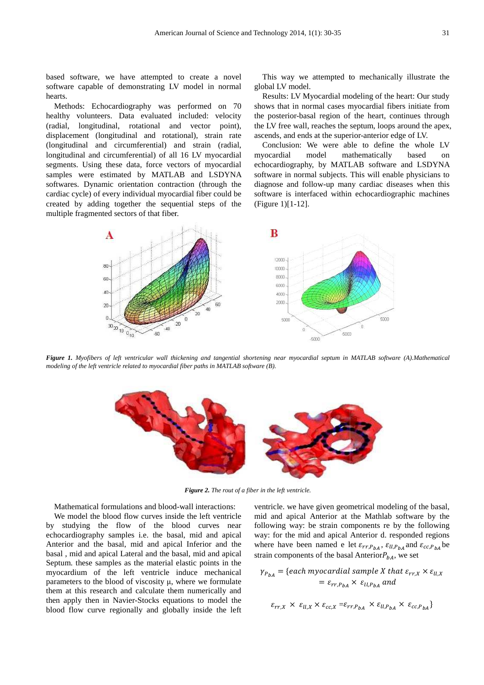based software, we have attempted to create a novel software capable of demonstrating LV model in normal hearts.

Methods: Echocardiography was performed on 70 healthy volunteers. Data evaluated included: velocity (radial, longitudinal, rotational and vector point), displacement (longitudinal and rotational), strain rate (longitudinal and circumferential) and strain (radial, longitudinal and circumferential) of all 16 LV myocardial (radial, longitudinal, rotational and vector point),<br>displacement (longitudinal and rotational), strain rate<br>(longitudinal and circumferential) and strain (radial,<br>longitudinal and circumferential) of all 16 LV myocardial<br> samples were estimated by MATLAB and LSDYNA softwares. Dynamic orientation contraction (through the cardiac cycle) of every individual myocardial fiber could be created by adding together the sequential steps of the multiple fragmented sectors of that fiber.

global LV model.

Results: LV Myocardial modeling of the heart: Our study shows that in normal cases myocardial fibers initiate from the posterior-basal region of the heart, continues through the LV free wall, reaches the septum, loops around the apex, the posterior-basal region of the heart, continues the LV free wall, reaches the septum, loops around the ascends, and ends at the superior-anterior edge of LV.

ed to create a novel<br>
IV model in normal<br>
global LV model.<br>
Results: LV Myocardial modeling of the heart: Our study<br>
as performed on 70 shows that in normal cases myocardial fibers initiate from<br>
ed included: velocity the Conclusion: We were able to define the whole LV myocardial model mathematically based on echocardiography, by MATLAB software and LSDYNA software in normal subjects. This will enable physicians to diagnose and follow-up many cardiac diseases when this software is interfaced within echocardiographic machines (Figure 1)[1-12]. e in normal subjects. This will enable physicians to<br>be and follow-up many cardiac diseases when this<br>e is interfaced within echocardiographic machines



Figure 1. Myofibers of left ventricular wall thickening and tangential shortening near myocardial septum in MATLAB software (A).Mathematical *modeling of the left ventricle related to myocardial fiber paths in MATLAB software (B).*



*Figure 2. The rout of a fiber in the left ventricle.* 

Mathematical formulations and blood blood-wall interactions:

We model the blood flow curves inside the left ventricle by studying the flow of the blood curves near echocardiography samples i.e. the basal, mid and apical Anterior and the basal, mid and apical Inferior and the basal , mid and apical Lateral and the basal, mid and apical Septum. these samples as the material elastic points in the myocardium of the left ventricle induce mechanical parameters to the blood of viscosity  $\mu$ , where we formulate them at this research and calculate them numerically and then apply then in Navier-Stocks equations to model the blood flow curve regionally and globally inside the left eral and the basal, mid and apical<br>the material elastic points in the<br>ft ventricle induce mechanical<br>f viscosity  $\mu$ , where we formulate

It is and blood-wall interactions: ventricle. we have given geometrical modeling of the basal,<br>
veurves inside the left ventricle inid and apical Anterior at the Mathlab software by the<br>
of the blood curves near following mid and apical Anterior at the Mathlab software by the following way: be strain components re by the following following way: be strain components re by the following<br>way: for the mid and apical Anterior d. responded regions where have been named e let  $\varepsilon_{rr,P_{bA}}, \varepsilon_{ll,P_{bA}}$  and  $\varepsilon_{cc,P_{bA}}$  be strain components of the basal Anterior $P_{bA}$ , we set

$$
\gamma_{P_{bA}} = \{ each \, \text{myocardial} \, \text{sample } X \, \text{that} \, \varepsilon_{rr,X} \times \varepsilon_{ll,X} \} = \varepsilon_{rr,P_{bA}} \times \varepsilon_{ll,P_{bA}} \, \text{and}
$$

$$
\varepsilon_{rr,X} \times \varepsilon_{ll,X} \times \varepsilon_{cc,X} = \varepsilon_{rr,P_{bA}} \times \varepsilon_{ll,P_{bA}} \times \varepsilon_{cc,P_{bA}}\}
$$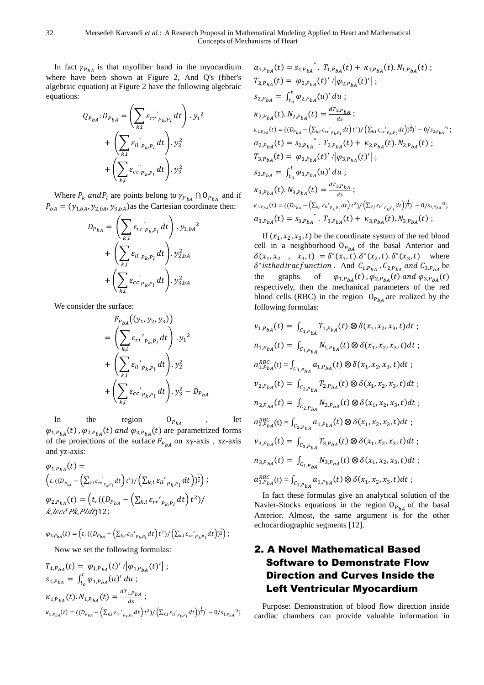In fact  $\gamma_{P_{bA}}$  is that myofiber band in the myocardium where have been shown at Figure 2, And Q's (fiber's algebraic equation) at Figure 2 have the following algebraic equations:

$$
Q_{P_{bA}}: D_{P_{bA}} = \left(\sum_{k,l} \varepsilon_{rr} \bigg|_{P_{k,P_l}} dt\right) \cdot y_1^2
$$

$$
+ \left(\sum_{k,l} \varepsilon_{ll} \bigg|_{P_{k,P_l}} dt\right) \cdot y_2^2
$$

$$
+ \left(\sum_{k,l} \varepsilon_{cc} \bigg|_{P_{k,P_l}} dt\right) \cdot y_3^2
$$

Where  $P_k$  and  $P_l$  are points belong to  $\gamma_{P_{bA}} \cap O_{P_{bA}}$  and if  $P_{bA} = (y_{1,bA}, y_{2,bA}, y_{3,bA})$  as the Cartesian coordinate then:

$$
D_{P_{bA}} = \left(\sum_{k,l} \varepsilon_{rr} \Big|_{P_{k,P_l}} dt\right) \cdot y_{1,bA}^2 + \left(\sum_{k,l} \varepsilon_{li} \Big|_{P_{k,P_l}} dt\right) \cdot y_{2,bA}^2 + \left(\sum_{k,l} \varepsilon_{cc} \Big|_{P_{k,P_l}} dt\right) \cdot y_{3,bA}^2
$$

We consider the surface:

$$
F_{P_{bA}}((y_1, y_2, y_3))
$$
\n
$$
= \left(\sum_{k,l} \varepsilon_{rr'}_{P_{k,P_l}} dt\right) \cdot y_1^2
$$
\n
$$
+ \left(\sum_{k,l} \varepsilon_{li'}_{P_{k,P_l}} dt\right) \cdot y_2^2
$$
\n
$$
+ \left(\sum_{k,l} \varepsilon_{cc'}_{P_{k,P_l}} dt\right) \cdot y_3^2 - D_{P_{bA}}
$$

In the region  $O_{P_{bA}}$  $bA$ , let  $\varphi_{1,P_{bA}}(t)$ ,  $\varphi_{2,P_{bA}}(t)$  and  $\varphi_{3,P_{bA}}(t)$  are parametrized forms of the projections of the surface  $F_{P_{bA}}$  on xy-axis, xz-axis and yz-axis:

$$
\varphi_{1,P_{bA}}(t) =
$$
\n
$$
\left(t, ((D_{P_{bA}} - (\sum_{k,l} \varepsilon_{rr}^{'}_{P_{k,P_{l}}} dt) t^{2}) / (\sum_{k,l} \varepsilon_{ll}^{'}_{P_{k,P_{l}}} dt))^{\frac{1}{2}}\right);
$$
\n
$$
\varphi_{2,P_{bA}}(t) = \left(t, ((D_{P_{bA}} - (\sum_{k,l} \varepsilon_{rr}^{'}_{P_{k,P_{l}}} dt) t^{2}) / \right. \\ \left. \kappa, l \in c\mathcal{C} P k, P l d t\right) 12;
$$

 $\varphi_{3,P_{bA}}(t) = \left(t, ((D_{P_{bA}} - (\sum_{k,l} \varepsilon_{ll'}_{P_{k}.P_{l}} dt) t^{2}) / (\sum_{k,l} \varepsilon_{cc'}_{P_{k}.P_{l}} dt)^{\frac{1}{2}}\right);$ 

Now we set the following formulas:

$$
T_{1,P_{bA}}(t) = \varphi_{1,P_{bA}}(t) / |\varphi_{1,P_{bA}}(t)'| ;
$$
  
\n
$$
s_{1,P_{bA}} = \int_{t_o}^t \varphi_{1,P_{bA}}(u)' du ;
$$
  
\n
$$
\kappa_{1,P_{bA}}(t) \cdot N_{1,P_{bA}}(t) = \frac{dT_{1,P_{bA}}}{ds} ;
$$
  
\n
$$
\kappa_{1,P_{bA}}(t) = ((D_{P_{bA}} - (\Sigma_{k,l} \varepsilon_{rr'}_{P_{k,P_l}} dt) t^2) / (\Sigma_{k,l} \varepsilon_{ll'}_{P_{k,P_l}} dt))^{\frac{1}{2}} - 0 / s_{1,P_{bA}}^{'3};
$$

$$
a_{1,P_{bA}}(t) = s_{1,P_{bA}} \cdot T_{1,P_{bA}}(t) + \kappa_{1,P_{bA}}(t) \cdot N_{1,P_{bA}}(t) ;
$$
  
\n
$$
T_{2,P_{bA}}(t) = \varphi_{2,P_{bA}}(t) / |\varphi_{2,P_{bA}}(t)'| ;
$$
  
\n
$$
s_{2,P_{bA}} = \int_{t_0}^t \varphi_{2,P_{bA}}(u)' du ;
$$
  
\n
$$
\kappa_{2,P_{bA}}(t) \cdot N_{2,P_{bA}}(t) = \frac{dT_{2,P_{bA}}}{ds} ;
$$
  
\n
$$
\kappa_{2,P_{bA}}(t) = ((D_{P_{bA}} - (\sum_{k,l} \varepsilon_{rr} \cdot_{p_{k}P_{l}} dt) t^{2}) / (\sum_{k,l} \varepsilon_{cc} \cdot_{p_{k}P_{l}} dt))^{2}) - 0/s_{2,P_{bA}} s^{3};
$$
  
\n
$$
a_{2,P_{bA}}(t) = s_{2,P_{bA}} \cdot T_{2,P_{bA}}(t) + \kappa_{2,P_{bA}}(t) \cdot N_{2,P_{bA}}(t) ;
$$
  
\n
$$
T_{3,P_{bA}}(t) = \varphi_{3,P_{bA}}(t) / |\varphi_{3,P_{bA}}(t)'| ;
$$
  
\n
$$
s_{3,P_{bA}} = \int_{t_0}^t \varphi_{3,P_{bA}}(u)' du ;
$$
  
\n
$$
\kappa_{3,P_{bA}}(t) \cdot N_{3,P_{bA}}(t) = \frac{dT_{3,P_{bA}}}{ds} ;
$$
  
\n
$$
\kappa_{3,P_{bA}}(t) = ((D_{P_{bA}} - (\sum_{k,l} \varepsilon_{u} \cdot_{p_{k}P_{l}} dt) t^{2}) / (\sum_{k,l} \varepsilon_{u} \cdot_{p_{k}P_{l}} dt)^{1/2}) - 0/s_{3,P_{bA}} s^{3};
$$
  
\n
$$
a_{3,P_{bA}}(t) = s_{3,P_{bA}} \cdot T_{3,P_{bA}}(t) + \kappa_{3,P_{bA}}(t) \cdot N_{3,P_{bA}}(t) ;
$$

If  $(x_1, x_2, x_3, t)$  be the coordinate system of the red blood cell in a neighborhood  $O_{P_{bA}}$  of the basal Anterior and  $\delta(x_1, x_2, x_3, t) = \delta^*(x_1, t) \cdot \delta^*(x_2, t) \cdot \delta^*(x_3, t)$  where  $\delta^*$ isthediracfunction. And  $C_{1,P_{bA}}$ ,  $C_{2,P_{bA}}$  and  $C_{3,P_{bA}}$  be the graphs of  $_{bA}(t)$  ,  $\varphi_{2,P_{bA}}(t)$  and  $\varphi_{3,P_{bA}}(t)$ respectively, then the mechanical parameters of the red blood cells (RBC) in the region  $O_{P_{bA}}$  are realized by the following formulas:

$$
v_{1,P_{bA}}(t) = \int_{C_{1,P_{bA}}} T_{1,P_{bA}}(t) \otimes \delta(x_{1}, x_{2}, x_{3}, t) dt ;
$$
  
\n
$$
n_{1,P_{bA}}(t) = \int_{C_{1,P_{bA}}} N_{1,P_{bA}}(t) \otimes \delta(x_{1}, x_{2}, x_{3}, t) dt ;
$$
  
\n
$$
a_{1,P_{bA}}^{RBC}(t) = \int_{C_{1,P_{bA}}} a_{1,P_{bA}}(t) \otimes \delta(x_{1}, x_{2}, x_{3}, t) dt ;
$$
  
\n
$$
v_{2,P_{bA}}(t) = \int_{C_{2,P_{bA}}} T_{2,P_{bA}}(t) \otimes \delta(x_{1}, x_{2}, x_{3}, t) dt ;
$$
  
\n
$$
n_{2,P_{bA}}(t) = \int_{C_{2,P_{bA}}} N_{2,P_{bA}}(t) \otimes \delta(x_{1}, x_{2}, x_{3}, t) dt ;
$$
  
\n
$$
a_{2,P_{bA}}^{RBC}(t) = \int_{C_{2,P_{bA}}} a_{1,P_{bA}}(t) \otimes \delta(x_{1}, x_{2}, x_{3}, t) dt ;
$$
  
\n
$$
v_{3,P_{bA}}(t) = \int_{C_{3,P_{bA}}} T_{3,P_{bA}}(t) \otimes \delta(x_{1}, x_{2}, x_{3}, t) dt ;
$$
  
\n
$$
n_{3,P_{bA}}(t) = \int_{C_{1,P_{bA}}} N_{3,P_{bA}}(t) \otimes \delta(x_{1}, x_{2}, x_{3}, t) dt ;
$$
  
\n
$$
a_{3,P_{bA}}^{RBC}(t) = \int_{C_{3,P_{bA}}} a_{1,P_{bA}}(t) \otimes \delta(x_{1}, x_{2}, x_{3}, t) dt ;
$$

In fact these formulas give an analytical solution of the Navier-Stocks equations in the region  $O_{P_{bA}}$  of the basal Anterior. Almost, the same argument is for the other echocardiographic segments [12].

# 2. A Novel Mathematical Based Software to Demonstrate Flow Direction and Curves Inside the Left Ventricular Myocardium

Purpose: Demonstration of blood flow direction inside cardiac chambers can provide valuable information in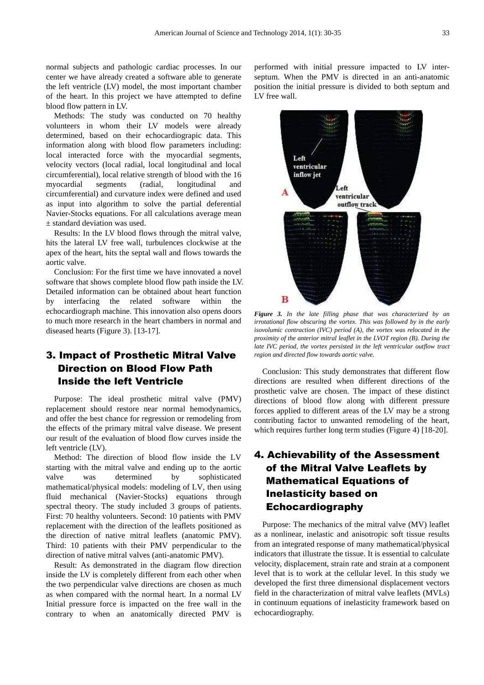normal subjects and pathologic cardiac processes. In our center we have already created a software able to generate the left ventricle (LV) model, the most important chamber of the heart. In this project we have attempted to define blood flow pattern in LV.

Methods: The study was conducted on 70 healthy volunteers in whom their LV models were already determined, based on their echocardiograpic data. This information along with blood flow parameters including: local interacted force with the myocardial segments, velocity vectors (local radial, local longitudinal and local circumferential), local relative strength of blood with the 16 myocardial segments (radial, longitudinal and circumferential) and curvature index were defined and used as input into algorithm to solve the partial deferential Navier-Stocks equations. For all calculations average mean ± standard deviation was used.

Results: In the LV blood flows through the mitral valve, hits the lateral LV free wall, turbulences clockwise at the apex of the heart, hits the septal wall and flows towards the aortic valve.

Conclusion: For the first time we have innovated a novel software that shows complete blood flow path inside the LV. Detailed information can be obtained about heart function by interfacing the related software within the echocardiograph machine. This innovation also opens doors to much more research in the heart chambers in normal and diseased hearts (Figure 3). [13-17].

## 3. Impact of Prosthetic Mitral Valve Direction on Blood Flow Path Inside the left Ventricle

Purpose: The ideal prosthetic mitral valve (PMV) replacement should restore near normal hemodynamics, and offer the best chance for regression or remodeling from the effects of the primary mitral valve disease. We present our result of the evaluation of blood flow curves inside the left ventricle (LV).

Method: The direction of blood flow inside the LV starting with the mitral valve and ending up to the aortic valve was determined by sophisticated mathematical/physical models: modeling of LV, then using fluid mechanical (Navier-Stocks) equations through spectral theory. The study included 3 groups of patients. First: 70 healthy volunteers. Second: 10 patients with PMV replacement with the direction of the leaflets positioned as the direction of native mitral leaflets (anatomic PMV). Third: 10 patients with their PMV perpendicular to the direction of native mitral valves (anti-anatomic PMV).

Result: As demonstrated in the diagram flow direction inside the LV is completely different from each other when the two perpendicular valve directions are chosen as much as when compared with the normal heart. In a normal LV Initial pressure force is impacted on the free wall in the contrary to when an anatomically directed PMV is

performed with initial pressure impacted to LV interseptum. When the PMV is directed in an anti-anatomic position the initial pressure is divided to both septum and LV free wall.



*Figure 3. In the late filling phase that was characterized by an irrotational flow obscuring the vortex. This was followed by in the early isovolumic contraction (IVC) period (A), the vortex was relocated in the proximity of the anterior mitral leaflet in the LVOT region (B). During the late IVC period, the vortex persisted in the left ventricular outflow tract region and directed flow towards aortic valve.* 

Conclusion: This study demonstrates that different flow directions are resulted when different directions of the prosthetic valve are chosen. The impact of these distinct directions of blood flow along with different pressure forces applied to different areas of the LV may be a strong contributing factor to unwanted remodeling of the heart, which requires further long term studies (Figure 4) [18-20].

# 4. Achievability of the Assessment of the Mitral Valve Leaflets by Mathematical Equations of Inelasticity based on Echocardiography

Purpose: The mechanics of the mitral valve (MV) leaflet as a nonlinear, inelastic and anisotropic soft tissue results from an integrated response of many mathematical/physical indicators that illustrate the tissue. It is essential to calculate velocity, displacement, strain rate and strain at a component level that is to work at the cellular level. In this study we developed the first three dimensional displacement vectors field in the characterization of mitral valve leaflets (MVLs) in continuum equations of inelasticity framework based on echocardiography.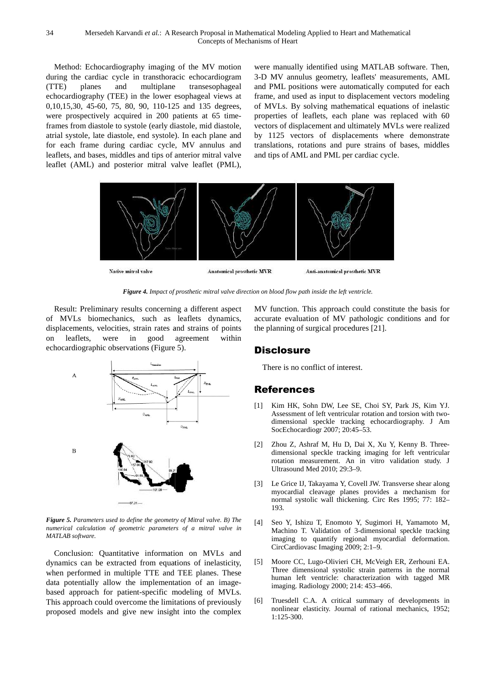Method: Echocardiography imaging of the MV motion during the cardiac cycle in transthoracic echocardiogram (TTE) planes and multiplane echocardiography (TEE) in the lower esophageal views at 0,10,15,30, 45-60, 75, 80, 90, 110-125 and 135 degrees, 0,10,15,30, 45-60, 75, 80, 90, 110-125 and 135 degrees, were prospectively acquired in 200 patients at 65 timeframes from diastole to systole (early diastole, mid diastole, atrial systole, late diastole, end systole). In each plane and for each frame during cardiac cycle, MV annulus and leaflets, and bases, middles and tips of anterior mitral valve leaflet (AML) and posterior mitral valve leaflet (PML), transesophageal

were manually identified using MATLAB software. Then, 3-D MV annulus geometry, leaflets' measurements, AML 3-D MV annulus geometry, leaflets' measurements, AML and PML positions were automatically computed for each frame, and used as input to displacement vectors modeling of MVLs. By solving mathematical equations of inelastic properties of leaflets, each plane was replaced with 60 vectors of displacement and ultimately MVLs were realized by 1125 vectors of displacements where demonstrate translations, rotations and pure strains of bases, middles and tips of AML and PML per cardiac cycle.



*Figure 4. Impact of prosthetic mitral valve direction on blood flow path inside the left ventricle. mpact* 

Result: Preliminary results concerning a different aspect of MVLs biomechanics, such as leaflets dynamics, displacements, velocities, strain rates and strains of points on leaflets, were in good agreement within displacements, velocities, strain rates and<br>on leaflets, were in good agr<br>echocardiographic observations (Figure 5).



*Figure 5. Parameters used to define the geometry of Mitral valve. B) The numerical calculation of geometric parameters of a m mitral valve in MATLAB software.* 

Conclusion: Quantitative information on MVLs and dynamics can be extracted from equations of inelasticity, when performed in multiple TTE and TEE planes. These data potentially allow the implementation of an imagebased approach for patient-specific modeling of MVLs. This approach could overcome the limitations of previously proposed models and give new insight into the complex accurate evaluation of MV pathologic conditions and for the planning of surgical procedures [21] [21].

## **Disclosure**

There is no conflict of interest.

## References

- [1] Kim HK, Sohn DW, Lee SE, Choi SY, Park JS, Kim YJ. Assessment of left ventricular rotation and torsion with twodimensional speckle tracking echocardiography. J Am SocEchocardiogr 2007; 20:45 20:45–53.
- [2] Zhou Z, Ashraf M, Hu D, Dai X, Xu Y, Kenny B. Threedimensional speckle tracking imaging for left ventricular rotation measurement. An in vitro validation study. J Ultrasound Med 2010; 29:3 29:3–9.
- [3] Le Grice IJ, Takayama Y, Covell JW. Transverse shear along myocardial cleavage planes provides a mechanism for normal systolic wall thickening. Circ Res 1995; 77: 182 193. J, Takayama Y, Covell JW. Transverse shear along<br>Il cleavage planes provides a mechanism for<br>stolic wall thickening. Circ Res 1995; 77: 182–
- [4] Seo Y, Ishizu T, Enomoto Y, Sugimori H, Yamamoto M, Machino T. Validation of 3 3-dimensional speckle tracking imaging to quantify regional myocardial deformation. CircCardiovasc Imaging 2009; 2:1 2:1–9.
- [5] Moore CC, Lugo-Olivieri CH, McVeigh ER, Zerhouni EA. Three dimensional systolic strain patterns in the normal human left ventricle: characterization with tagged MR imaging. Radiology 2000; 214: 453 453–466. Olivieri CH, McVeigh ER, Zerhouni EA.<br>I systolic strain patterns in the normal<br>icle: characterization with tagged MR
- [6] Truesdell C.A. A critical summary of developments in nonlinear elasticity. Journal of rational mechanics, 1952; 1:125-300.